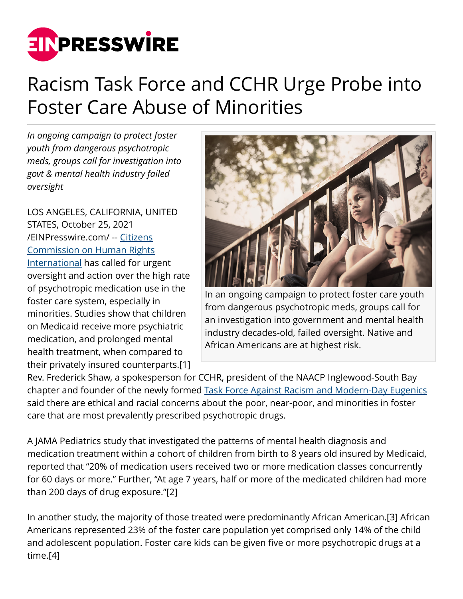

## Racism Task Force and CCHR Urge Probe into Foster Care Abuse of Minorities

*In ongoing campaign to protect foster youth from dangerous psychotropic meds, groups call for investigation into govt & mental health industry failed oversight*

LOS ANGELES, CALIFORNIA, UNITED STATES, October 25, 2021 [/EINPresswire.com/](http://www.einpresswire.com) -- [Citizens](https://www.cchrint.org/) [Commission on Human Rights](https://www.cchrint.org/) [International](https://www.cchrint.org/) has called for urgent oversight and action over the high rate of psychotropic medication use in the foster care system, especially in minorities. Studies show that children on Medicaid receive more psychiatric medication, and prolonged mental health treatment, when compared to their privately insured counterparts.[1]



In an ongoing campaign to protect foster care youth from dangerous psychotropic meds, groups call for an investigation into government and mental health industry decades-old, failed oversight. Native and African Americans are at highest risk.

Rev. Frederick Shaw, a spokesperson for CCHR, president of the NAACP Inglewood-South Bay chapter and founder of the newly formed [Task Force Against Racism and Modern-Day Eugenics](https://www.cchrtaskforce.org/) said there are ethical and racial concerns about the poor, near-poor, and minorities in foster care that are most prevalently prescribed psychotropic drugs.

A JAMA Pediatrics study that investigated the patterns of mental health diagnosis and medication treatment within a cohort of children from birth to 8 years old insured by Medicaid, reported that "20% of medication users received two or more medication classes concurrently for 60 days or more." Further, "At age 7 years, half or more of the medicated children had more than 200 days of drug exposure."[2]

In another study, the majority of those treated were predominantly African American.[3] African Americans represented 23% of the foster care population yet comprised only 14% of the child and adolescent population. Foster care kids can be given five or more psychotropic drugs at a time.[4]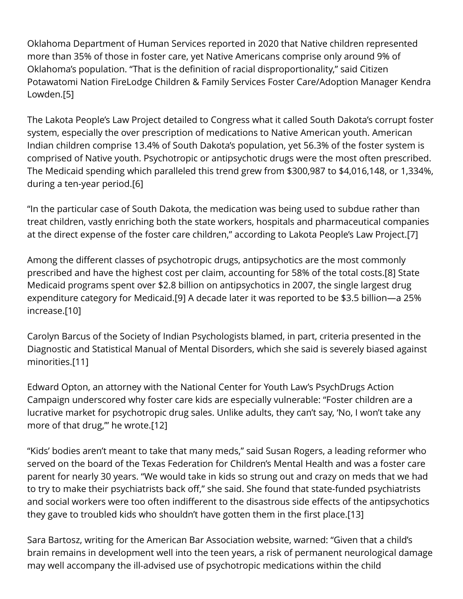Oklahoma Department of Human Services reported in 2020 that Native children represented more than 35% of those in foster care, yet Native Americans comprise only around 9% of Oklahoma's population. "That is the definition of racial disproportionality," said Citizen Potawatomi Nation FireLodge Children & Family Services Foster Care/Adoption Manager Kendra Lowden.[5]

The Lakota People's Law Project detailed to Congress what it called South Dakota's corrupt foster system, especially the over prescription of medications to Native American youth. American Indian children comprise 13.4% of South Dakota's population, yet 56.3% of the foster system is comprised of Native youth. Psychotropic or antipsychotic drugs were the most often prescribed. The Medicaid spending which paralleled this trend grew from \$300,987 to \$4,016,148, or 1,334%, during a ten-year period.[6]

"In the particular case of South Dakota, the medication was being used to subdue rather than treat children, vastly enriching both the state workers, hospitals and pharmaceutical companies at the direct expense of the foster care children," according to Lakota People's Law Project.[7]

Among the different classes of psychotropic drugs, antipsychotics are the most commonly prescribed and have the highest cost per claim, accounting for 58% of the total costs.[8] State Medicaid programs spent over \$2.8 billion on antipsychotics in 2007, the single largest drug expenditure category for Medicaid.[9] A decade later it was reported to be \$3.5 billion—a 25% increase.[10]

Carolyn Barcus of the Society of Indian Psychologists blamed, in part, criteria presented in the Diagnostic and Statistical Manual of Mental Disorders, which she said is severely biased against minorities.[11]

Edward Opton, an attorney with the National Center for Youth Law's PsychDrugs Action Campaign underscored why foster care kids are especially vulnerable: "Foster children are a lucrative market for psychotropic drug sales. Unlike adults, they can't say, 'No, I won't take any more of that drug,'" he wrote.[12]

"Kids' bodies aren't meant to take that many meds," said Susan Rogers, a leading reformer who served on the board of the Texas Federation for Children's Mental Health and was a foster care parent for nearly 30 years. "We would take in kids so strung out and crazy on meds that we had to try to make their psychiatrists back off," she said. She found that state-funded psychiatrists and social workers were too often indifferent to the disastrous side effects of the antipsychotics they gave to troubled kids who shouldn't have gotten them in the first place.[13]

Sara Bartosz, writing for the American Bar Association website, warned: "Given that a child's brain remains in development well into the teen years, a risk of permanent neurological damage may well accompany the ill-advised use of psychotropic medications within the child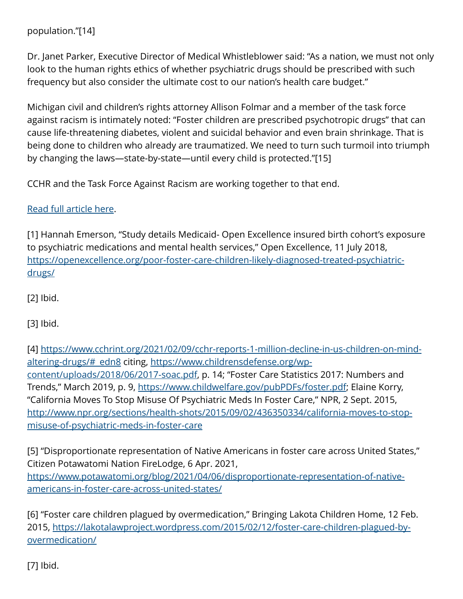population."[14]

Dr. Janet Parker, Executive Director of Medical Whistleblower said: "As a nation, we must not only look to the human rights ethics of whether psychiatric drugs should be prescribed with such frequency but also consider the ultimate cost to our nation's health care budget."

Michigan civil and children's rights attorney Allison Folmar and a member of the task force against racism is intimately noted: "Foster children are prescribed psychotropic drugs" that can cause life-threatening diabetes, violent and suicidal behavior and even brain shrinkage. That is being done to children who already are traumatized. We need to turn such turmoil into triumph by changing the laws—state-by-state—until every child is protected."[15]

CCHR and the Task Force Against Racism are working together to that end.

## [Read full article here.](https://www.cchrint.org/2021/10/20/high-rate-of-foster-care-children-are-prescribed-mind-altering-drugs/)

[1] Hannah Emerson, "Study details Medicaid- Open Excellence insured birth cohort's exposure to psychiatric medications and mental health services," Open Excellence, 11 July 2018, [https://openexcellence.org/poor-foster-care-children-likely-diagnosed-treated-psychiatric](https://openexcellence.org/poor-foster-care-children-likely-diagnosed-treated-psychiatric-drugs/)[drugs/](https://openexcellence.org/poor-foster-care-children-likely-diagnosed-treated-psychiatric-drugs/)

[2] Ibid.

[3] Ibid.

[4] [https://www.cchrint.org/2021/02/09/cchr-reports-1-million-decline-in-us-children-on-mind](https://www.cchrint.org/2021/02/09/cchr-reports-1-million-decline-in-us-children-on-mind-altering-drugs/#_edn8)[altering-drugs/#\\_edn8](https://www.cchrint.org/2021/02/09/cchr-reports-1-million-decline-in-us-children-on-mind-altering-drugs/#_edn8) citing, [https://www.childrensdefense.org/wp](https://www.childrensdefense.org/wp-content/uploads/2018/06/2017-soac.pdf)[content/uploads/2018/06/2017-soac.pdf,](https://www.childrensdefense.org/wp-content/uploads/2018/06/2017-soac.pdf) p. 14; "Foster Care Statistics 2017: Numbers and Trends," March 2019, p. 9, [https://www.childwelfare.gov/pubPDFs/foster.pdf;](https://www.childwelfare.gov/pubPDFs/foster.pdf) Elaine Korry, "California Moves To Stop Misuse Of Psychiatric Meds In Foster Care," NPR, 2 Sept. 2015, [http://www.npr.org/sections/health-shots/2015/09/02/436350334/california-moves-to-stop](http://www.npr.org/sections/health-shots/2015/09/02/436350334/california-moves-to-stop-misuse-of-psychiatric-meds-in-foster-care)[misuse-of-psychiatric-meds-in-foster-care](http://www.npr.org/sections/health-shots/2015/09/02/436350334/california-moves-to-stop-misuse-of-psychiatric-meds-in-foster-care)

[5] "Disproportionate representation of Native Americans in foster care across United States," Citizen Potawatomi Nation FireLodge, 6 Apr. 2021, [https://www.potawatomi.org/blog/2021/04/06/disproportionate-representation-of-native](https://www.potawatomi.org/blog/2021/04/06/disproportionate-representation-of-native-americans-in-foster-care-across-united-states/)[americans-in-foster-care-across-united-states/](https://www.potawatomi.org/blog/2021/04/06/disproportionate-representation-of-native-americans-in-foster-care-across-united-states/)

[6] "Foster care children plagued by overmedication," Bringing Lakota Children Home, 12 Feb. 2015, [https://lakotalawproject.wordpress.com/2015/02/12/foster-care-children-plagued-by](https://lakotalawproject.wordpress.com/2015/02/12/foster-care-children-plagued-by-overmedication/)[overmedication/](https://lakotalawproject.wordpress.com/2015/02/12/foster-care-children-plagued-by-overmedication/)

[7] Ibid.